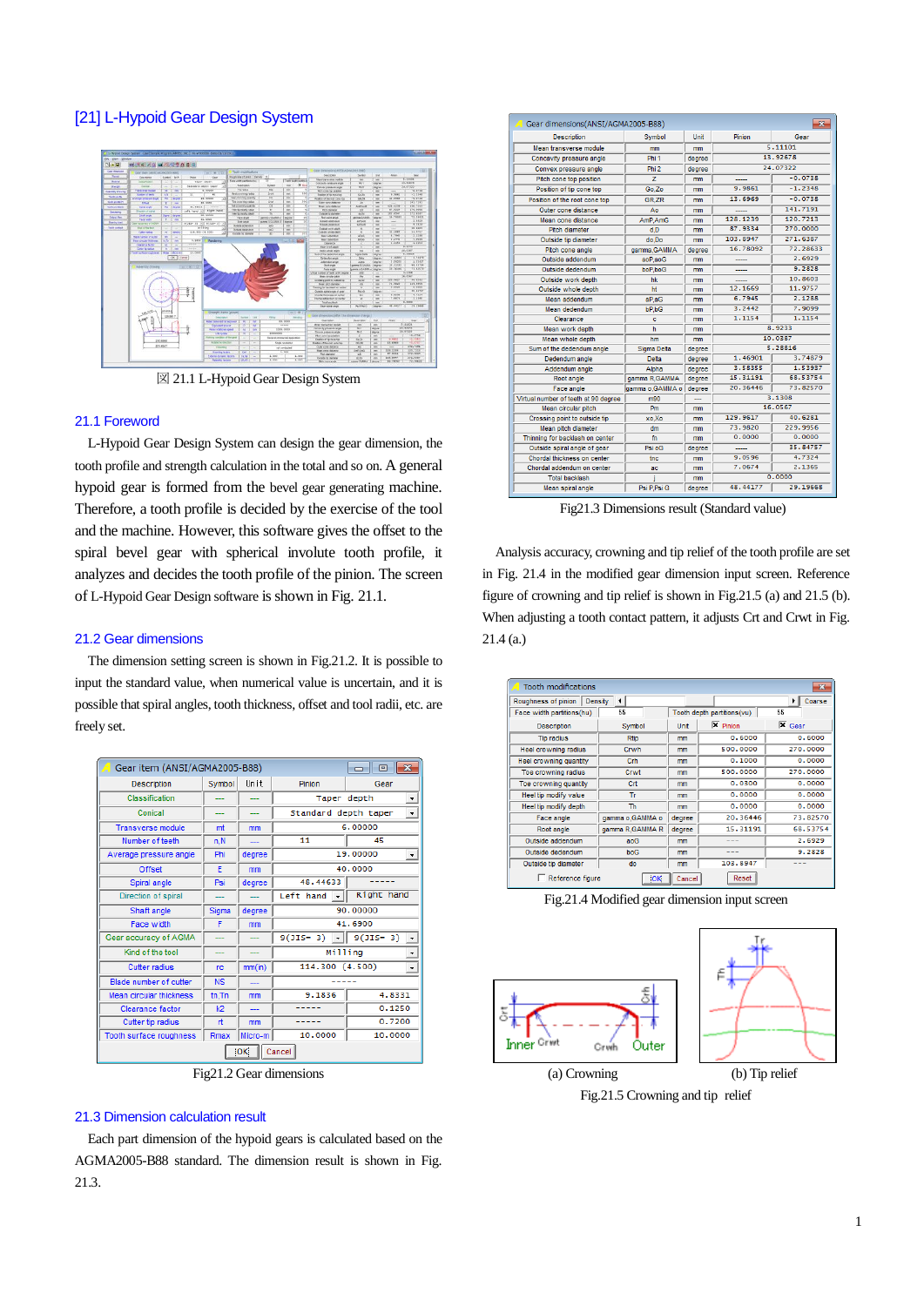# [21] L-Hypoid Gear Design System



図 21.1 L-Hypoid Gear Design System

#### 21.1 Foreword

 L-Hypoid Gear Design System can design the gear dimension, the tooth profile and strength calculation in the total and so on. A general hypoid gear is formed from the bevel gear generating machine. Therefore, a tooth profile is decided by the exercise of the tool and the machine. However, this software gives the offset to the spiral bevel gear with spherical involute tooth profile, it analyzes and decides the tooth profile of the pinion. The screen of L-Hypoid Gear Design software is shown in Fig. 21.1.

## 21.2 Gear dimensions

 The dimension setting screen is shown in Fig.21.2. It is possible to input the standard value, when numerical value is uncertain, and it is possible that spiral angles, tooth thickness, offset and tool radii, etc. are freely set.



Fig21.2 Gear dimensions

#### 21.3 Dimension calculation result

Each part dimension of the hypoid gears is calculated based on the AGMA2005-B88 standard. The dimension result is shown in Fig. 21.3.

| Gear dimensions(ANSI/AGMA2005-B88)   |                  |        |          | $-x$      |
|--------------------------------------|------------------|--------|----------|-----------|
| <b>Description</b>                   | Symbol           | Unit   | Pininn   | Gear      |
| Mean transverse module               | mm               | mm     |          | 5.11101   |
| Concavity pressure angle             | Phi <sub>1</sub> | degree |          | 13.92678  |
| Convex pressure angle                | Phi <sub>2</sub> | degree |          | 24.07322  |
| Pitch cone top position              | $\overline{z}$   | mm     |          | $-0.0738$ |
| Position of tip cone top             | Go.Zo            | mm     | 9.9861   | $-1.2348$ |
| Position of the root cone top        | <b>GR.ZR</b>     | mm     | 13.6969  | $-0.0738$ |
| Outer cone distance                  | An               | mm     |          | 141.7191  |
| Mean cone distance                   | AmP.AmG          | mm     | 128.1239 | 120.7213  |
| Pitch diameter                       | d.D              | mm     | 87.9334  | 270,0000  |
| Outside tip diameter                 | do Do            | mm     | 103.8947 | 271.6387  |
| Pitch cone angle                     | gamma, GAMMA     | degree | 16.78092 | 72.28633  |
| Outside addendum                     | aoP.aoG          | mm     |          | 2.6929    |
| Outside dedendum                     | boP boG          | mm     | -----    | 9.2828    |
| Outside work depth                   | hk               | mm     |          | 10.8603   |
| Outside whole depth                  | ht               | mm     | 12.1669  | 11.9757   |
| Mean addendum                        | aP.aG            | mm     | 6.7945   | 2.1288    |
| Mean dedendum                        | bP.bG            | mm     | 3.2442   | 7.9099    |
| Clearance                            | ċ                | mm     | 1.1154   | 1.1154    |
| Mean work depth                      | h                | mm     |          | 8.9233    |
| Mean whole depth                     | hm               | mm     |          | 10.0387   |
| Sum of the dedendum angle            | Sigma Delta      | degree |          | 5.28816   |
| Dedendum angle                       | Delta            | degree | 1.46901  | 3.74879   |
| Addendum angle                       | Alpha            | degree | 3.58355  | 1.53937   |
| Root angle                           | gamma R, GAMMA   | degree | 15.31191 | 68.53754  |
| Face angle                           | lgamma o.GAMMA o | degree | 20.36446 | 73.82570  |
| Virtual number of teeth at 90 degree | m90              |        |          | 3.1308    |
| Mean circular pitch                  | Pm               | mm     |          | 16.0567   |
| Crossing point to outside tip        | xo.Xo            | mm     | 129.9617 | 40.6281   |
| Mean pitch diameter                  | dm               | mm     | 73.9820  | 229.9956  |
| Thinning for backlash on center      | fn               | mm     | 0.0000   | 0.0000    |
| Outside spiral angle of gear         | Psi oG           | degree |          | 35.84757  |
| Chordal thickness on center          | tnc              | mm     | 9.0596   | 4.7324    |
| Chordal addendum on center           | ac.              | mm     | 7.0674   | 2.1365    |
| <b>Total backlash</b>                |                  | mm     |          | 0.0000    |
| Mean spiral angle                    | Psi P.Psi G      | degree | 48.44177 | 29.19668  |

Fig21.3 Dimensions result (Standard value)

 Analysis accuracy, crowning and tip relief of the tooth profile are set in Fig. 21.4 in the modified gear dimension input screen. Reference figure of crowning and tip relief is shown in Fig.21.5 (a) and 21.5 (b). When adjusting a tooth contact pattern, it adjusts Crt and Crwt in Fig. 21.4 (a.)

| Tooth modifications<br>Roughness of pinion | Density<br>۰    |        |                                | $\mathbf{x}$<br>Coarse<br>▸∥ |
|--------------------------------------------|-----------------|--------|--------------------------------|------------------------------|
| Face width partitions(hu)                  | 55              |        | Tooth depth partitions (vu)    | 55                           |
| <b>Description</b>                         | Symbol          | Unit   | $\overline{\mathbf{x}}$ Pinion | $\overline{\mathbf{x}}$ Gear |
| <b>Tip radius</b>                          | <b>Rtip</b>     | mm     | 0.6000                         | 0.6000                       |
| <b>Heel crowning radius</b>                | Crwh            | mm     | 500,0000                       | 270,0000                     |
| Heel crowning quantity                     | Crh             | mm     | 0.1000                         | 0.0000                       |
| Toe crowning radius                        | Crwt            | mm     | 500,0000                       | 270,0000                     |
| Toe crowning quantity                      | Crt             | mm     | 0.0300                         | 0.0000                       |
| Heel tip modify value                      | Tr              | mm     | 0.0000                         | 0.0000                       |
| Heel tip modify depth                      | <b>Th</b>       | mm     | 0.0000                         | 0.0000                       |
| Face angle                                 | gamma o.GAMMA o | degree | 20.36446                       | 73.82570                     |
| Root angle                                 | gamma R.GAMMA R | degree | 15.31191                       | 68.53754                     |
| Outside addendum                           | anG             | mm     |                                | 2.6929                       |
| Outside dedendum                           | b <sub>0</sub>  | mm     | ---                            | 9.2828                       |
| Outside tip diameter                       | do              | mm     | 103.8947                       |                              |
| Reference figure                           | <b>OK</b>       | Cancel | Reset                          |                              |

Fig.21.4 Modified gear dimension input screen



Fig.21.5 Crowning and tip relief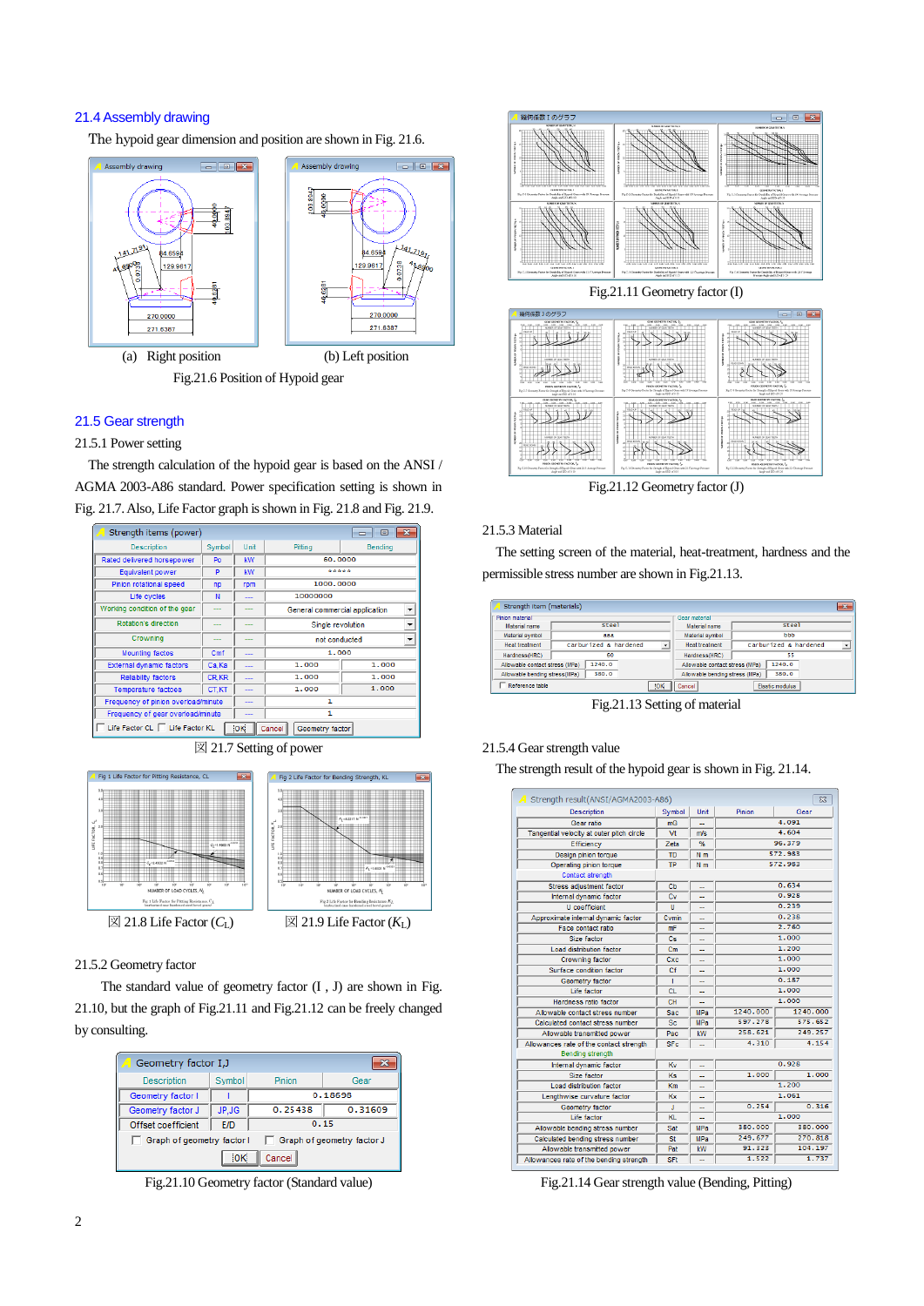# 21.4Assembly drawing

The hypoid gear dimension and position are shown in Fig. 21.6.



### 21.5 Gear strength

### 21.5.1 Power setting

The strength calculation of the hypoid gear is based on the ANSI / AGMA 2003-A86 standard. Power specification setting is shown in Fig. 21.7.Also, Life Factor graph is shown in Fig. 21.8 and Fig. 21.9.

| Strength items (power)              |              |                          |                                | l o l                    |
|-------------------------------------|--------------|--------------------------|--------------------------------|--------------------------|
| <b>Description</b>                  | Symbol       | Unit                     | Pitting                        | <b>Bending</b>           |
| Rated delivered horsepower          | Po           | <b>kW</b>                | 60,0000                        |                          |
| Equivalent power                    | P            | <b>kW</b>                | *****                          |                          |
| Pinion rotational speed             | np           | rpm                      | 1000,0000                      |                          |
| Life cycles                         | N            |                          | 10000000                       |                          |
| Working condition of the gear       |              |                          | General commercial application | $\overline{\phantom{a}}$ |
| Rotation's direction                |              |                          | Single revolution              | $\overline{\phantom{0}}$ |
| Crowning                            |              |                          | not conducted                  | $\overline{\phantom{0}}$ |
| <b>Mounting factos</b>              | Cmf          |                          | 1,000                          |                          |
| External dynamic factors            | Ca, Ka       | ---                      | 1.000                          | 1.000                    |
| <b>Reliability factors</b>          | <b>CR.KR</b> | ---                      | 1.000                          | 1,000                    |
| <b>Temperature factoes</b>          | CT.KT        | $\overline{\phantom{a}}$ | 1.000                          | 1,000                    |
| Frequency of pinion overload/minute |              | ---                      | 1                              |                          |
| Frequency of gear overload/minute   |              |                          | 1                              |                          |
| Life Factor CL   Life Factor KL     |              | ЮK                       | Cancel<br>Geometry factor      |                          |





### 21.5.2 Geometry factor

The standard value of geometry factor (I , J) are shown in Fig. 21.10, but the graph of Fig.21.11 and Fig.21.12 can be freely changed by consulting.

| Geometry factor I, J       |           |         |                            |
|----------------------------|-----------|---------|----------------------------|
| <b>Description</b>         | Symbol    | Pinion  | Gear                       |
| Geometry factor I          |           |         | 0.18698                    |
| Geometry factor J          | JP.JG     | 0.25438 | 0.31609                    |
| Offset coefficient         | E/D       | 0.15    |                            |
| Graph of geometry factor I |           |         | Graph of geometry factor J |
|                            | <b>OK</b> | Cancel  |                            |

Fig.21.10 Geometry factor (Standard value)



Fig.21.12 Geometry factor (J)

#### 21.5.3 Material

The setting screen of the material, heat-treatment, hardness and the permissible stress number are shown in Fig.21.13.

| Strength item (materials)      |                       |                |                                | $\mathbf{x}$               |
|--------------------------------|-----------------------|----------------|--------------------------------|----------------------------|
| Pinion material                |                       |                | Gear material                  |                            |
| Material name                  | <b>Steel</b>          |                | Material name                  | <b>Steel</b>               |
| Material symbol                | aaa                   |                | Material symbol                | bbb                        |
| <b>Heat treatment</b>          | Carburized & hardened | $\overline{ }$ | <b>Heat treatment</b>          | Carburized & hardened<br>٠ |
| Hardness(HRC)                  | 60                    |                | Hardness(HRC)                  | 55                         |
| Allowable contact stress (MPa) | 1240.0                |                | Allowable contact stress (MPa) | 1240.0                     |
| Allowable bending stress(MPa)  | 380.0                 |                | Allowable bending stress (MPa) | 380.0                      |
| Reference table                |                       | ЮK             | Cancel                         | Elastic modulus            |

Fig.21.13 Setting of material

### 21.5.4 Gear strength value

The strength result of the hypoid gear is shown in Fig. 21.14.

| Strength result(ANSI/AGMA2003-A86)        |                |                |          | $\Sigma$ |
|-------------------------------------------|----------------|----------------|----------|----------|
| <b>Description</b>                        | Symbol         | Unit           | Pinion   | Gear     |
| Gear ratio                                | mG             |                |          | 4.091    |
| Tangential velocity at outer pitch circle | Vt             | m/s            |          | 4.604    |
| Efficiency                                | Zeta           | %              |          | 96.379   |
| Design pinion torque                      | TD             | N <sub>m</sub> |          | 572.983  |
| Operating pinion torque                   | <b>TP</b>      | N <sub>m</sub> |          | 572.983  |
| <b>Contact strength</b>                   |                |                |          |          |
| Stress adiustment factor                  | C <sub>b</sub> |                |          | 0.634    |
| Internal dynamic factor                   | Cv             |                |          | 0.928    |
| <b>U</b> coefficient                      | U              |                |          | 0.239    |
| Approximate internal dynamic factor       | Cymin          |                |          | 0.238    |
| Face contact ratio                        | mF             |                |          | 2.760    |
| Size factor                               | Cs             |                |          | 1.000    |
| Load distribution factor                  | $c_{m}$        |                |          | 1.200    |
| Crowning factor                           | Cxc            |                |          | 1.000    |
| Surface condition factor                  | Cf             | ۰.             |          | 1.000    |
| Geometry factor                           | T              | Ξ.             |          | 0.187    |
| Life factor                               | <b>CL</b>      |                |          | 1.000    |
| Hardness ratio factor                     | CH             |                |          | 1.000    |
| Allowable contact stress number           | Sac            | MPa            | 1240.000 | 1240,000 |
| Calculated contact stress number          | Sc             | <b>MPa</b>     | 597.278  | 575.652  |
| Allowable transmitted power               | Pac            | <b>kW</b>      | 258.621  | 249.257  |
| Allowances rate of the contact strength   | <b>SFc</b>     |                | 4.310    | 4.154    |
| <b>Bending strength</b>                   |                |                |          |          |
| Internal dynamic factor                   | Kv             |                |          | 0.928    |
| Size factor                               | <b>Ks</b>      |                | 1.000    | 1.000    |
| Load distribution factor                  | Km             |                |          | 1.200    |
| Lengthwise curvature factor               | Кx             | --             |          | 1.061    |
| Geometry factor                           | J              |                | 0.254    | 0.316    |
| Life factor                               | KL.            |                |          | 1.000    |
| Allowable bending stress number           | Sat            | <b>MPa</b>     | 380,000  | 380,000  |
| Calculated bending stress number          | St             | <b>MPa</b>     | 249.677  | 270.818  |
| Allowable transmitted power               | Pat            | kW             | 91.323   | 104.197  |
| Allowances rate of the bending strength   | <b>SFt</b>     |                | 1.522    | 1.737    |

Fig.21.14 Gear strength value (Bending, Pitting)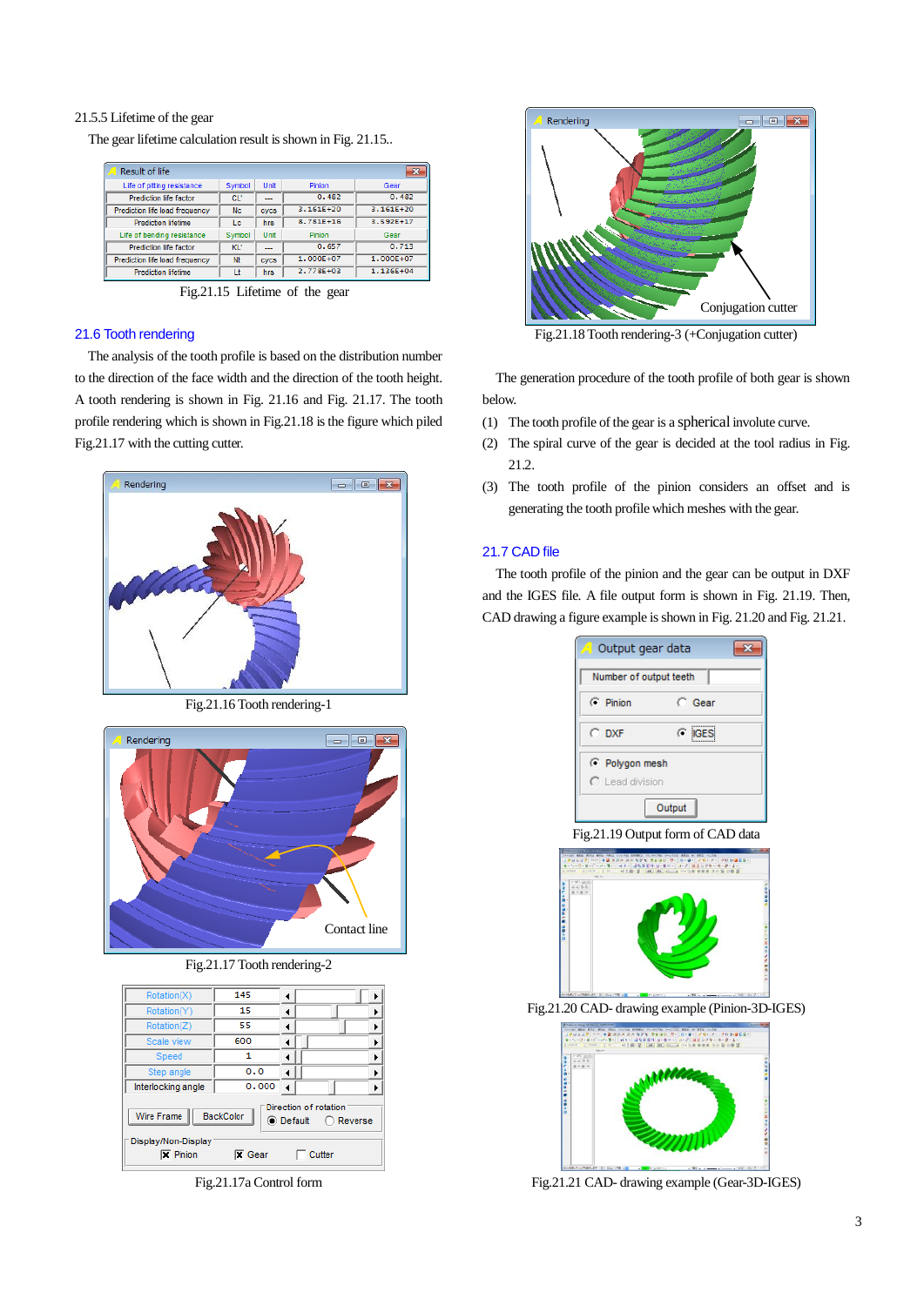### 21.5.5 Lifetime of the gear

The gear lifetime calculation result is shown in Fig. 21.15..

| Result of life                 |           |             |               | $\overline{\mathbf{x}}$ |
|--------------------------------|-----------|-------------|---------------|-------------------------|
| Life of pitting resistance     | Symbol    | Unit        | Pinion        | Gear                    |
| Prediction life factor         | CL'       | ---         | 0.482         | 0.482                   |
| Prediction life load frequency | <b>Nc</b> | cvcs        | $3.161E + 20$ | $3.161E + 20$           |
| <b>Prediction lifetime</b>     | Lc        | hrs         | $8.781E + 16$ | $3.592E+17$             |
| Life of bending resistance     | Symbol    | Unit        | Pinion        | Gear                    |
| Prediction life factor         | KL'       | ---         | 0.657         | 0.713                   |
| Prediction life load frequency | Nt        | <b>CVCS</b> | $1.000E + 07$ | $1.000E + 07$           |
| <b>Prediction lifetime</b>     | Lt        | hrs         | 2.778E+03     | 1.136E+04               |

Fig.21.15 Lifetime of the gear

## 21.6 Tooth rendering

The analysis of the tooth profile is based on the distribution number to the direction of the face width and the direction of the tooth height. A tooth rendering is shown in Fig. 21.16 and Fig. 21.17. The tooth profile rendering which is shown in Fig.21.18 is the figure which piled Fig.21.17 with the cutting cutter.



Fig.21.16 Tooth rendering-1



Fig.21.17 Tooth rendering-2

| Rotation(X)                                                         | 145                               | ◀ |                                                                          |
|---------------------------------------------------------------------|-----------------------------------|---|--------------------------------------------------------------------------|
| Rotation(Y)                                                         | 15                                |   | Þ                                                                        |
| Rotation(Z)                                                         | 55                                |   | ▶                                                                        |
| Scale view                                                          | 600                               |   | ▶                                                                        |
| Speed                                                               | 1                                 |   | ▶                                                                        |
| Step angle                                                          | 0.0                               | ∢ | k                                                                        |
| Interlocking angle                                                  | 0.000                             |   | ▶                                                                        |
| Wire Frame<br>Display/Non-Display<br>$\overline{\mathbf{x}}$ Pinion | <b>BackColor</b><br><b>X</b> Gear |   | Direction of rotation<br>$\bigcirc$ Default $\bigcirc$ Reverse<br>Cutter |

Fig.21.17a Control form



Fig.21.18 Tooth rendering-3 (+Conjugation cutter)

The generation procedure of the tooth profile of both gear is shown below.

- (1) The tooth profile of the gear is a sphericalinvolute curve.
- (2) The spiral curve of the gear is decided at the tool radius in Fig. 21.2.
- (3) The tooth profile of the pinion considers an offset and is generating the tooth profile which meshes with the gear.

# 21.7 CAD file

The tooth profile of the pinion and the gear can be output in DXF and the IGES file. A file output form is shown in Fig. 21.19. Then, CAD drawing a figure example is shown in Fig. 21.20 and Fig. 21.21.





Fig.21.21 CAD- drawing example (Gear-3D-IGES)